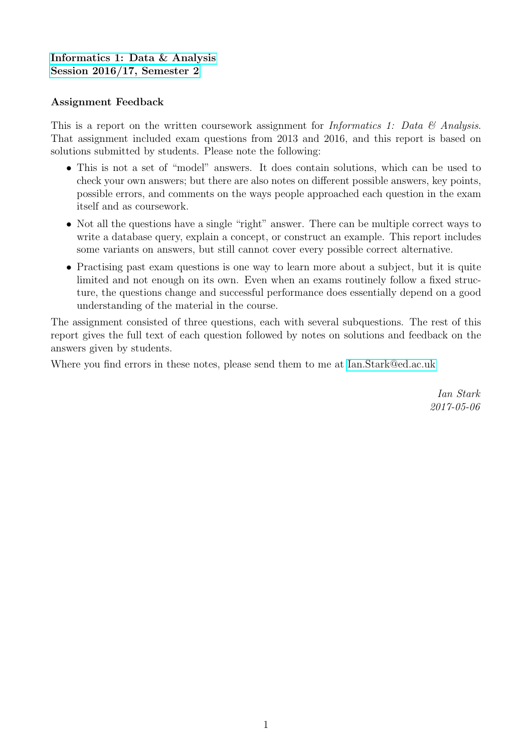# [Informatics 1: Data & Analysis](http://blog.inf.ed.ac.uk/da17) [Session 2016/17, Semester 2](http://blog.inf.ed.ac.uk/da17)

## Assignment Feedback

This is a report on the written coursework assignment for *Informatics 1: Data*  $\mathcal{C}$  *Analysis.* That assignment included exam questions from 2013 and 2016, and this report is based on solutions submitted by students. Please note the following:

- This is not a set of "model" answers. It does contain solutions, which can be used to check your own answers; but there are also notes on different possible answers, key points, possible errors, and comments on the ways people approached each question in the exam itself and as coursework.
- Not all the questions have a single "right" answer. There can be multiple correct ways to write a database query, explain a concept, or construct an example. This report includes some variants on answers, but still cannot cover every possible correct alternative.
- Practising past exam questions is one way to learn more about a subject, but it is quite limited and not enough on its own. Even when an exams routinely follow a fixed structure, the questions change and successful performance does essentially depend on a good understanding of the material in the course.

The assignment consisted of three questions, each with several subquestions. The rest of this report gives the full text of each question followed by notes on solutions and feedback on the answers given by students.

Where you find errors in these notes, please send them to me at [Ian.Stark@ed.ac.uk](mailto:Ian.Stark@ed.ac.uk)

Ian Stark 2017-05-06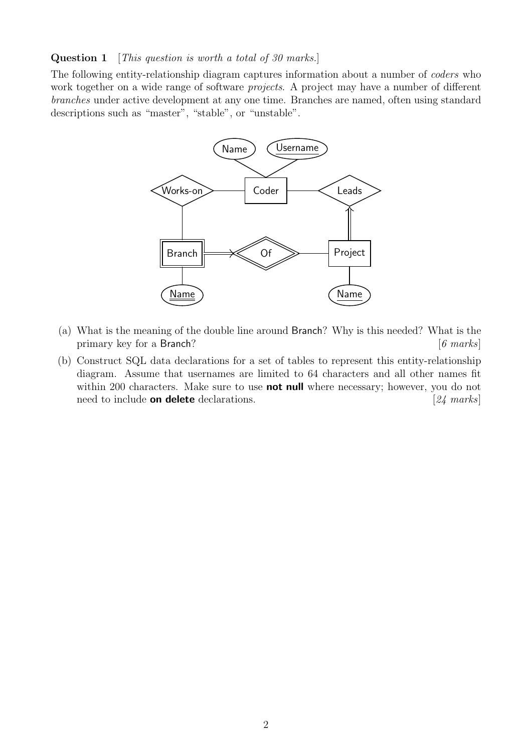### Question 1 [This question is worth a total of 30 marks.]

The following entity-relationship diagram captures information about a number of coders who work together on a wide range of software *projects*. A project may have a number of different branches under active development at any one time. Branches are named, often using standard descriptions such as "master", "stable", or "unstable".



- (a) What is the meaning of the double line around Branch? Why is this needed? What is the primary key for a Branch? [6 marks]
- (b) Construct SQL data declarations for a set of tables to represent this entity-relationship diagram. Assume that usernames are limited to 64 characters and all other names fit within 200 characters. Make sure to use **not null** where necessary; however, you do not need to include **on delete** declarations. [24 marks]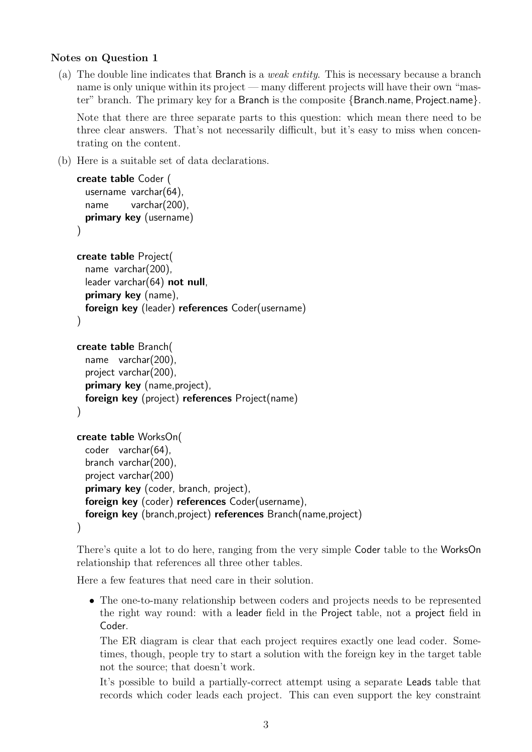## Notes on Question 1

<span id="page-2-0"></span>(a) The double line indicates that Branch is a weak entity. This is necessary because a branch name is only unique within its project — many different projects will have their own "master" branch. The primary key for a Branch is the composite {Branch.name, Project.name}.

Note that there are three separate parts to this question: which mean there need to be three clear answers. That's not necessarily difficult, but it's easy to miss when concentrating on the content.

(b) Here is a suitable set of data declarations.

```
create table Coder (
  username varchar(64),
  name varchar(200),
 primary key (username)
\lambdacreate table Project(
  name varchar(200),
  leader varchar(64) not null,
  primary key (name),
 foreign key (leader) references Coder(username)
)
create table Branch(
  name varchar(200),
  project varchar(200),
 primary key (name, project),
 foreign key (project) references Project(name)
)
create table WorksOn(
  coder varchar(64),
  branch varchar(200),
  project varchar(200)
  primary key (coder, branch, project),
 foreign key (coder) references Coder(username),
  foreign key (branch,project) references Branch(name,project)
)
```
There's quite a lot to do here, ranging from the very simple Coder table to the WorksOn relationship that references all three other tables.

Here a few features that need care in their solution.

• The one-to-many relationship between coders and projects needs to be represented the right way round: with a leader field in the Project table, not a project field in Coder.

The ER diagram is clear that each project requires exactly one lead coder. Sometimes, though, people try to start a solution with the foreign key in the target table not the source; that doesn't work.

It's possible to build a partially-correct attempt using a separate Leads table that records which coder leads each project. This can even support the key constraint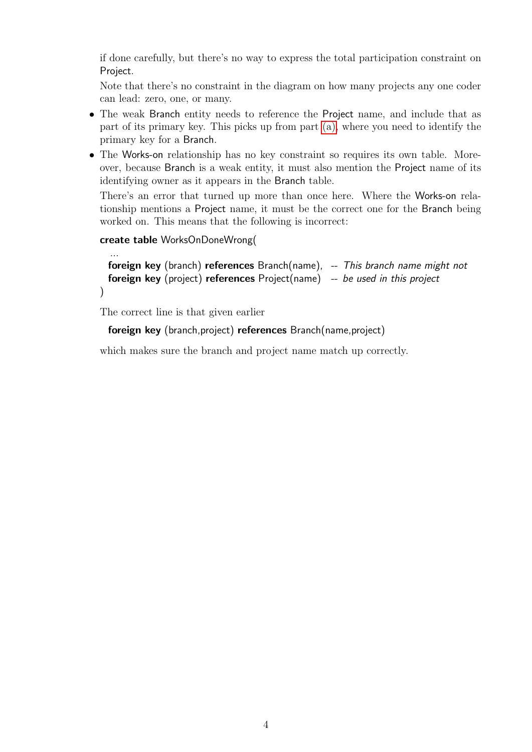if done carefully, but there's no way to express the total participation constraint on Project.

Note that there's no constraint in the diagram on how many projects any one coder can lead: zero, one, or many.

- The weak Branch entity needs to reference the Project name, and include that as part of its primary key. This picks up from part [\(a\),](#page-2-0) where you need to identify the primary key for a Branch.
- The Works-on relationship has no key constraint so requires its own table. Moreover, because Branch is a weak entity, it must also mention the Project name of its identifying owner as it appears in the Branch table.

There's an error that turned up more than once here. Where the Works-on relationship mentions a Project name, it must be the correct one for the Branch being worked on. This means that the following is incorrect:

```
create table WorksOnDoneWrong(
```
...

```
foreign key (branch) references Branch(name), -- This branch name might not
 foreign key (project) references Project(name) -- be used in this project
)
```
The correct line is that given earlier

foreign key (branch,project) references Branch(name,project)

which makes sure the branch and project name match up correctly.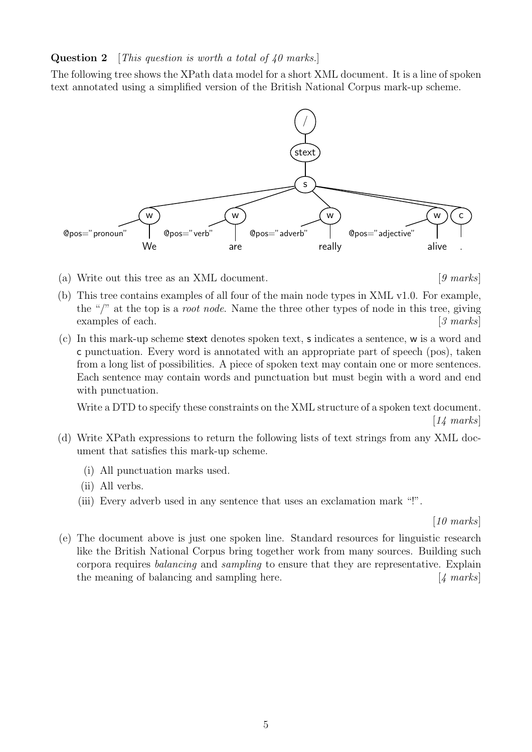### **Question 2** [This question is worth a total of  $40$  marks.]

The following tree shows the XPath data model for a short XML document. It is a line of spoken text annotated using a simplified version of the British National Corpus mark-up scheme.



(a) Write out this tree as an XML document.  $[9 \text{ marks}]$ 

- (b) This tree contains examples of all four of the main node types in XML v1.0. For example, the "/" at the top is a *root node*. Name the three other types of node in this tree, giving examples of each.  $\left[3 \text{ marks}\right]$
- (c) In this mark-up scheme stext denotes spoken text, s indicates a sentence, w is a word and c punctuation. Every word is annotated with an appropriate part of speech (pos), taken from a long list of possibilities. A piece of spoken text may contain one or more sentences. Each sentence may contain words and punctuation but must begin with a word and end with punctuation.

Write a DTD to specify these constraints on the XML structure of a spoken text document.  $|14 \text{ marks}|$ 

- (d) Write XPath expressions to return the following lists of text strings from any XML document that satisfies this mark-up scheme.
	- (i) All punctuation marks used.
	- (ii) All verbs.
	- (iii) Every adverb used in any sentence that uses an exclamation mark "!".

[10 marks]

(e) The document above is just one spoken line. Standard resources for linguistic research like the British National Corpus bring together work from many sources. Building such corpora requires balancing and sampling to ensure that they are representative. Explain the meaning of balancing and sampling here.  $\begin{bmatrix} 4 \text{ marks} \end{bmatrix}$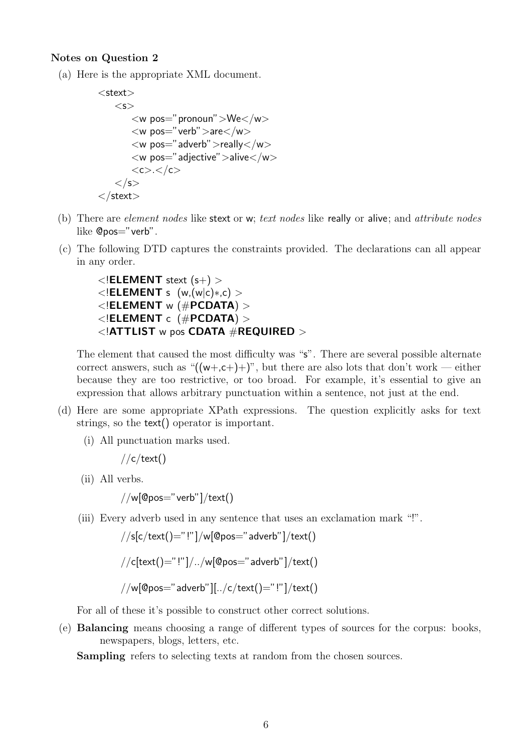#### Notes on Question 2

(a) Here is the appropriate XML document.

```
<stext><s>\langle w \text{ pos} =" pronoun"\langle W \rangle\langle w \text{ pos}=" \text{verb}''\rangle >are\langle/w \rangle\langle w \text{ pos} = "adverb">'>really</u>\langle w \rangle pos="adjective" > alive\langle w \rangle<<c><c><c>\langle/s>\langlestext\rangle
```
- (b) There are element nodes like stext or w; text nodes like really or alive; and attribute nodes like @pos="verb".
- (c) The following DTD captures the constraints provided. The declarations can all appear in any order.

```
\langle ELEMENT stext (s+) >\langle!ELEMENT s (w,(w|c)*(c)\lt!ELEMENT w (#PCDATA) >\langle ELEMENT c (#PCDATA) >\langle | ATTLIST w pos CDATA \#REQUIRED >
```
The element that caused the most difficulty was "s". There are several possible alternate correct answers, such as " $((w+, c+)$ ", but there are also lots that don't work — either because they are too restrictive, or too broad. For example, it's essential to give an expression that allows arbitrary punctuation within a sentence, not just at the end.

- (d) Here are some appropriate XPath expressions. The question explicitly asks for text strings, so the text() operator is important.
	- (i) All punctuation marks used.

 $//c/text()$ 

(ii) All verbs.

 $1/w[@pos="verb"']/text()$ 

(iii) Every adverb used in any sentence that uses an exclamation mark "!".

$$
\texttt{\footnotesize //s[c/text()=}\text{"}!\text{'}|\texttt{\footnotesize /w[@pos=}\text{"adverb"]}/\text{text()}
$$
\n
$$
\texttt{\footnotesize //c[text()=}\text{"}!\text{'}|\texttt{\footnotesize //w[@pos=}\text{"adverb"]}/\text{text()}
$$

$$
\hspace{-1.5cm}\textbf{if} \hspace{1.5cm} \rho\text{ is the same as}\hspace{1.5cm} \rho\text{ is the same as}\hspace{1.5cm} \rho\text{ is the same as}\hspace{1.5cm} \rho\text{ is the same as}\hspace{1.5cm} \rho\text{ is the same as}\hspace{1.5cm}\rho\text{ is the same as}\hspace{1.5cm}\rho\text{ is the same as}\hspace{1.5cm}\rho\text{ is the same as}\hspace{1.5cm}\rho\text{ is the same as}\hspace{1.5cm}\rho\text{ is the same as}\hspace{1.5cm}\rho\text{ is the same as}\hspace{1.5cm}\rho\text{ is the same as}\hspace{1.5cm}\rho\text{ is the same as}\hspace{1.5cm}\rho\text{ is the same as}\hspace{1.5cm}\rho\text{ is the same as}\hspace{1.5cm}\rho\text{ is the same as}\hspace{1.5cm}\rho\text{ is the same as}\hspace{1.5cm}\rho\text{ is the same as}\hspace{1.5cm}\rho\text{ is the same as}\hspace{1.5cm}\rho\text{ is the same as}\hspace{1.5cm}\rho\text{ is the same as}\hspace{1.5cm}\rho\text{ is the same as}\hspace{1.5cm}\rho\text{ is the same as}\hspace{1.5cm}\rho\text{ is the same as}\hspace{1.5cm}\rho\text{ is the same as}\hspace{1.5cm}\rho\text{ is the same as}\hspace{1.5cm}\rho\text{ is the same as}\hspace{1.5cm}\rho\text{ is the same as}\hspace{1.5cm}\rho\text{ is the same as}\hspace{1.5cm}\rho\text{ is the same as}\hspace{1.5cm}\rho\text{ is the same as}\hspace{1.5cm}\rho\text{ is the same as}\hspace{1.5cm}\rho\text{ is the same as}\hspace{1.5cm}\rho\text{ is the same as}\hspace{1.5cm}\rho\text{ is the same as}\hspace{1.5cm}\rho\text{ is the same as}\hspace{1.5cm}\rho\text{ is the same as}\hspace{1.5cm}\rho\text{ is the same as}\hspace{1.5cm}\rho\text{ is the same as}\hspace{1.5cm}\rho\text{ is the same as}\hspace{1.5cm}\rho\text{ is the same as}\hspace{1.5cm}\rho\text{ is the same as}\hspace{1.5cm}\rho\text{ is the same as}\hspace{1.5cm}\rho
$$

For all of these it's possible to construct other correct solutions.

(e) Balancing means choosing a range of different types of sources for the corpus: books, newspapers, blogs, letters, etc.

Sampling refers to selecting texts at random from the chosen sources.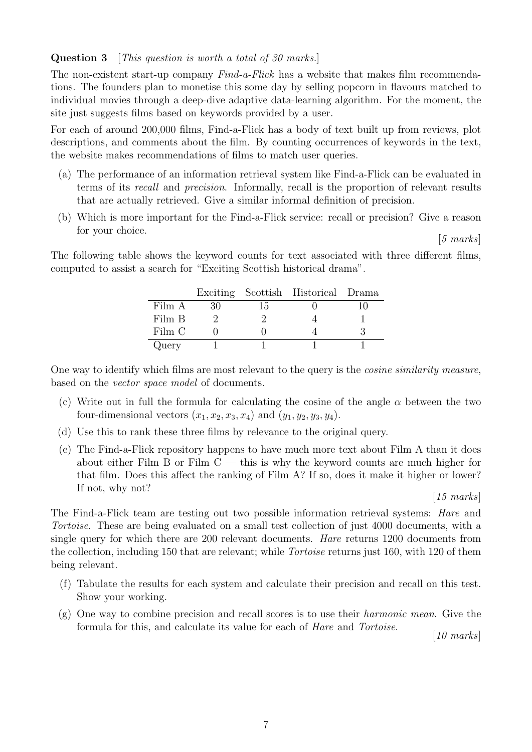Question 3 [This question is worth a total of 30 marks.]

The non-existent start-up company *Find-a-Flick* has a website that makes film recommendations. The founders plan to monetise this some day by selling popcorn in flavours matched to individual movies through a deep-dive adaptive data-learning algorithm. For the moment, the site just suggests films based on keywords provided by a user.

For each of around 200,000 films, Find-a-Flick has a body of text built up from reviews, plot descriptions, and comments about the film. By counting occurrences of keywords in the text, the website makes recommendations of films to match user queries.

- (a) The performance of an information retrieval system like Find-a-Flick can be evaluated in terms of its recall and precision. Informally, recall is the proportion of relevant results that are actually retrieved. Give a similar informal definition of precision.
- (b) Which is more important for the Find-a-Flick service: recall or precision? Give a reason for your choice.

[5 marks]

The following table shows the keyword counts for text associated with three different films, computed to assist a search for "Exciting Scottish historical drama".

|        |    | Exciting Scottish Historical Drama |  |
|--------|----|------------------------------------|--|
| Film A | 15 |                                    |  |
| Film B |    |                                    |  |
| Film C |    |                                    |  |
| Query  |    |                                    |  |

One way to identify which films are most relevant to the query is the cosine similarity measure, based on the vector space model of documents.

- (c) Write out in full the formula for calculating the cosine of the angle  $\alpha$  between the two four-dimensional vectors  $(x_1, x_2, x_3, x_4)$  and  $(y_1, y_2, y_3, y_4)$ .
- (d) Use this to rank these three films by relevance to the original query.
- (e) The Find-a-Flick repository happens to have much more text about Film A than it does about either Film B or Film  $C -$  this is why the keyword counts are much higher for that film. Does this affect the ranking of Film A? If so, does it make it higher or lower? If not, why not?

#### [15 marks]

The Find-a-Flick team are testing out two possible information retrieval systems: Hare and Tortoise. These are being evaluated on a small test collection of just 4000 documents, with a single query for which there are 200 relevant documents. Hare returns 1200 documents from the collection, including 150 that are relevant; while Tortoise returns just 160, with 120 of them being relevant.

- (f) Tabulate the results for each system and calculate their precision and recall on this test. Show your working.
- $(g)$  One way to combine precision and recall scores is to use their *harmonic mean*. Give the formula for this, and calculate its value for each of Hare and Tortoise.

[10 marks]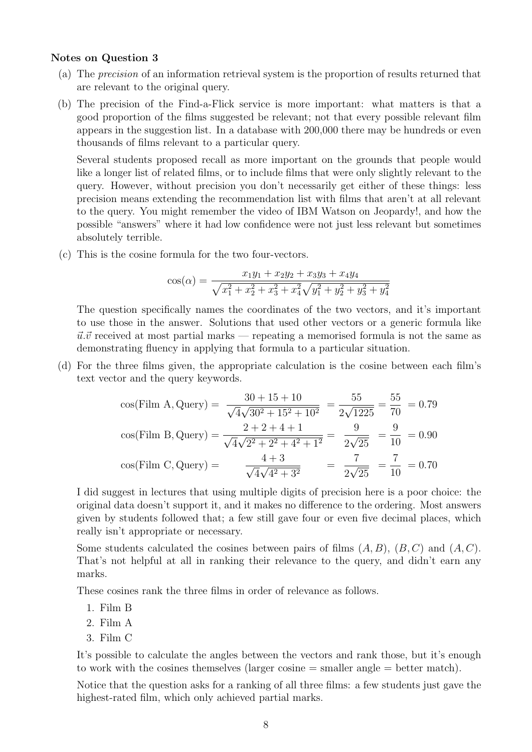#### Notes on Question 3

- (a) The precision of an information retrieval system is the proportion of results returned that are relevant to the original query.
- (b) The precision of the Find-a-Flick service is more important: what matters is that a good proportion of the films suggested be relevant; not that every possible relevant film appears in the suggestion list. In a database with 200,000 there may be hundreds or even thousands of films relevant to a particular query.

Several students proposed recall as more important on the grounds that people would like a longer list of related films, or to include films that were only slightly relevant to the query. However, without precision you don't necessarily get either of these things: less precision means extending the recommendation list with films that aren't at all relevant to the query. You might remember the video of IBM Watson on Jeopardy!, and how the possible "answers" where it had low confidence were not just less relevant but sometimes absolutely terrible.

(c) This is the cosine formula for the two four-vectors.

$$
\cos(\alpha) = \frac{x_1y_1 + x_2y_2 + x_3y_3 + x_4y_4}{\sqrt{x_1^2 + x_2^2 + x_3^2 + x_4^2}\sqrt{y_1^2 + y_2^2 + y_3^2 + y_4^2}}
$$

The question specifically names the coordinates of the two vectors, and it's important to use those in the answer. Solutions that used other vectors or a generic formula like  $\vec{u}.\vec{v}$  received at most partial marks — repeating a memorised formula is not the same as demonstrating fluency in applying that formula to a particular situation.

(d) For the three films given, the appropriate calculation is the cosine between each film's text vector and the query keywords.

$$
\cos(\text{Film A}, \text{Query}) = \frac{30 + 15 + 10}{\sqrt{4}\sqrt{30^2 + 15^2 + 10^2}} = \frac{55}{2\sqrt{1225}} = \frac{55}{70} = 0.79
$$
  

$$
\cos(\text{Film B}, \text{Query}) = \frac{2 + 2 + 4 + 1}{\sqrt{4}\sqrt{2^2 + 2^2 + 4^2 + 1^2}} = \frac{9}{2\sqrt{25}} = \frac{9}{10} = 0.90
$$
  

$$
\cos(\text{Film C}, \text{Query}) = \frac{4 + 3}{\sqrt{4}\sqrt{4^2 + 3^2}} = \frac{7}{2\sqrt{25}} = \frac{7}{10} = 0.70
$$

I did suggest in lectures that using multiple digits of precision here is a poor choice: the original data doesn't support it, and it makes no difference to the ordering. Most answers given by students followed that; a few still gave four or even five decimal places, which really isn't appropriate or necessary.

Some students calculated the cosines between pairs of films  $(A, B)$ ,  $(B, C)$  and  $(A, C)$ . That's not helpful at all in ranking their relevance to the query, and didn't earn any marks.

These cosines rank the three films in order of relevance as follows.

- 1. Film B
- 2. Film A
- 3. Film C

It's possible to calculate the angles between the vectors and rank those, but it's enough to work with the cosines themselves (larger cosine  $=$  smaller angle  $=$  better match).

Notice that the question asks for a ranking of all three films: a few students just gave the highest-rated film, which only achieved partial marks.